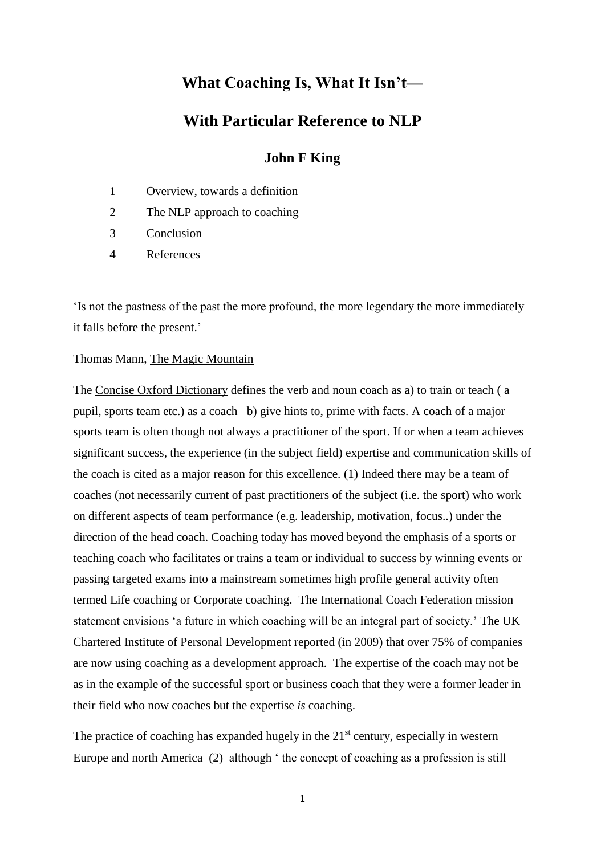# **What Coaching Is, What It Isn't—**

# **With Particular Reference to NLP**

### **John F King**

- 1 Overview, towards a definition
- 2 The NLP approach to coaching
- 3 Conclusion
- 4 References

'Is not the pastness of the past the more profound, the more legendary the more immediately it falls before the present.'

#### Thomas Mann, The Magic Mountain

The Concise Oxford Dictionary defines the verb and noun coach as a) to train or teach ( a pupil, sports team etc.) as a coach b) give hints to, prime with facts. A coach of a major sports team is often though not always a practitioner of the sport. If or when a team achieves significant success, the experience (in the subject field) expertise and communication skills of the coach is cited as a major reason for this excellence. (1) Indeed there may be a team of coaches (not necessarily current of past practitioners of the subject (i.e. the sport) who work on different aspects of team performance (e.g. leadership, motivation, focus..) under the direction of the head coach. Coaching today has moved beyond the emphasis of a sports or teaching coach who facilitates or trains a team or individual to success by winning events or passing targeted exams into a mainstream sometimes high profile general activity often termed Life coaching or Corporate coaching. The International Coach Federation mission statement envisions 'a future in which coaching will be an integral part of society.' The UK Chartered Institute of Personal Development reported (in 2009) that over 75% of companies are now using coaching as a development approach. The expertise of the coach may not be as in the example of the successful sport or business coach that they were a former leader in their field who now coaches but the expertise *is* coaching.

The practice of coaching has expanded hugely in the  $21<sup>st</sup>$  century, especially in western Europe and north America (2) although ' the concept of coaching as a profession is still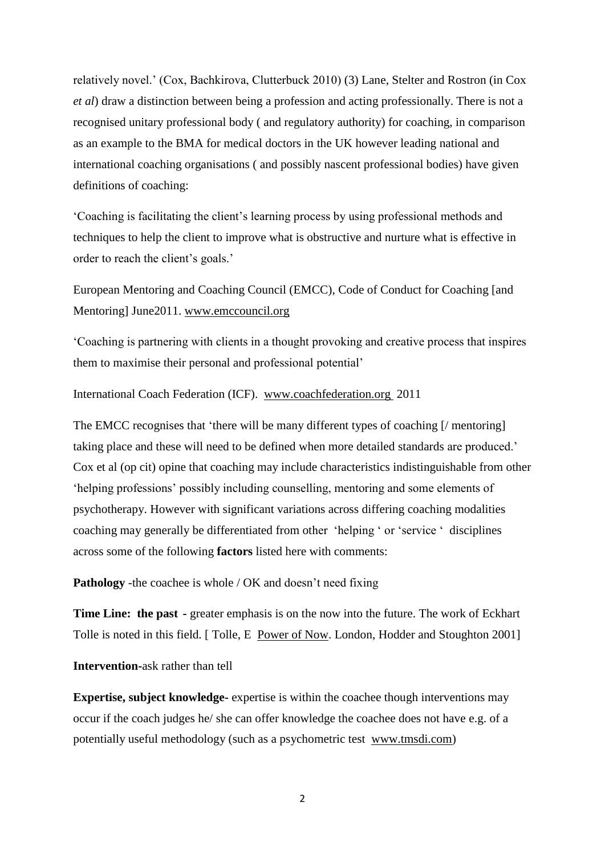relatively novel.' (Cox, Bachkirova, Clutterbuck 2010) (3) Lane, Stelter and Rostron (in Cox *et al*) draw a distinction between being a profession and acting professionally. There is not a recognised unitary professional body ( and regulatory authority) for coaching, in comparison as an example to the BMA for medical doctors in the UK however leading national and international coaching organisations ( and possibly nascent professional bodies) have given definitions of coaching:

'Coaching is facilitating the client's learning process by using professional methods and techniques to help the client to improve what is obstructive and nurture what is effective in order to reach the client's goals.'

European Mentoring and Coaching Council (EMCC), Code of Conduct for Coaching [and Mentoring] June2011. www.emccouncil.org

'Coaching is partnering with clients in a thought provoking and creative process that inspires them to maximise their personal and professional potential'

International Coach Federation (ICF). www.coachfederation.org 2011

The EMCC recognises that 'there will be many different types of coaching [/ mentoring] taking place and these will need to be defined when more detailed standards are produced.' Cox et al (op cit) opine that coaching may include characteristics indistinguishable from other 'helping professions' possibly including counselling, mentoring and some elements of psychotherapy. However with significant variations across differing coaching modalities coaching may generally be differentiated from other 'helping ' or 'service ' disciplines across some of the following **factors** listed here with comments:

**Pathology** -the coachee is whole / OK and doesn't need fixing

**Time Line: the past -** greater emphasis is on the now into the future. The work of Eckhart Tolle is noted in this field. [ Tolle, E Power of Now. London, Hodder and Stoughton 2001]

**Intervention-**ask rather than tell

**Expertise, subject knowledge-** expertise is within the coachee though interventions may occur if the coach judges he/ she can offer knowledge the coachee does not have e.g. of a potentially useful methodology (such as a psychometric test www.tmsdi.com)

2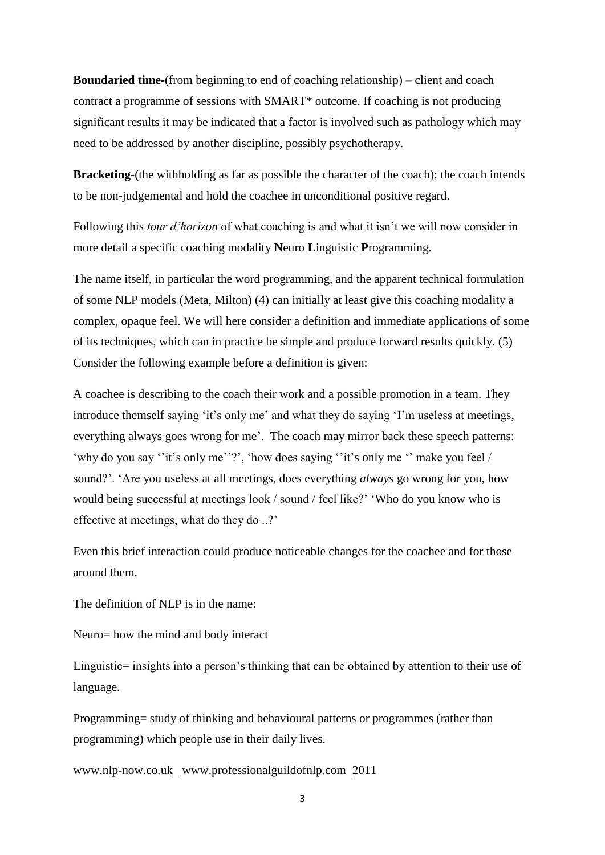**Boundaried time-**(from beginning to end of coaching relationship) – client and coach contract a programme of sessions with SMART\* outcome. If coaching is not producing significant results it may be indicated that a factor is involved such as pathology which may need to be addressed by another discipline, possibly psychotherapy.

**Bracketing-**(the withholding as far as possible the character of the coach); the coach intends to be non-judgemental and hold the coachee in unconditional positive regard.

Following this *tour d'horizon* of what coaching is and what it isn't we will now consider in more detail a specific coaching modality **N**euro **L**inguistic **P**rogramming.

The name itself, in particular the word programming, and the apparent technical formulation of some NLP models (Meta, Milton) (4) can initially at least give this coaching modality a complex, opaque feel. We will here consider a definition and immediate applications of some of its techniques, which can in practice be simple and produce forward results quickly. (5) Consider the following example before a definition is given:

A coachee is describing to the coach their work and a possible promotion in a team. They introduce themself saying 'it's only me' and what they do saying 'I'm useless at meetings, everything always goes wrong for me'. The coach may mirror back these speech patterns: 'why do you say ''it's only me''?', 'how does saying ''it's only me '' make you feel / sound?'. 'Are you useless at all meetings, does everything *always* go wrong for you, how would being successful at meetings look / sound / feel like?' 'Who do you know who is effective at meetings, what do they do ..?'

Even this brief interaction could produce noticeable changes for the coachee and for those around them.

The definition of NLP is in the name:

Neuro= how the mind and body interact

Linguistic= insights into a person's thinking that can be obtained by attention to their use of language.

Programming= study of thinking and behavioural patterns or programmes (rather than programming) which people use in their daily lives.

www.nlp-now.co.uk www.professionalguildofnlp.com 2011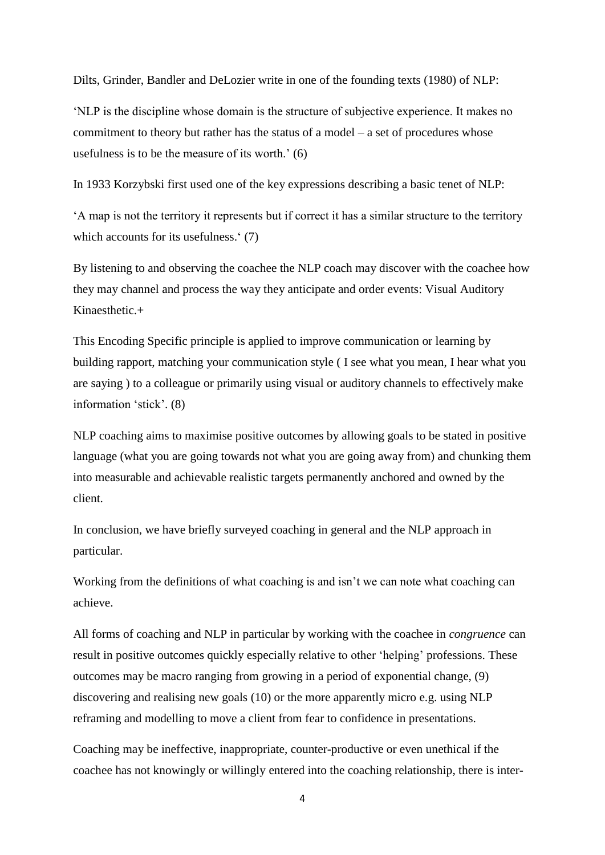Dilts, Grinder, Bandler and DeLozier write in one of the founding texts (1980) of NLP:

'NLP is the discipline whose domain is the structure of subjective experience. It makes no commitment to theory but rather has the status of a model – a set of procedures whose usefulness is to be the measure of its worth.' (6)

In 1933 Korzybski first used one of the key expressions describing a basic tenet of NLP:

'A map is not the territory it represents but if correct it has a similar structure to the territory which accounts for its usefulness.' (7)

By listening to and observing the coachee the NLP coach may discover with the coachee how they may channel and process the way they anticipate and order events: Visual Auditory Kinaesthetic.+

This Encoding Specific principle is applied to improve communication or learning by building rapport, matching your communication style ( I see what you mean, I hear what you are saying ) to a colleague or primarily using visual or auditory channels to effectively make information 'stick'. (8)

NLP coaching aims to maximise positive outcomes by allowing goals to be stated in positive language (what you are going towards not what you are going away from) and chunking them into measurable and achievable realistic targets permanently anchored and owned by the client.

In conclusion, we have briefly surveyed coaching in general and the NLP approach in particular.

Working from the definitions of what coaching is and isn't we can note what coaching can achieve.

All forms of coaching and NLP in particular by working with the coachee in *congruence* can result in positive outcomes quickly especially relative to other 'helping' professions. These outcomes may be macro ranging from growing in a period of exponential change, (9) discovering and realising new goals (10) or the more apparently micro e.g. using NLP reframing and modelling to move a client from fear to confidence in presentations.

Coaching may be ineffective, inappropriate, counter-productive or even unethical if the coachee has not knowingly or willingly entered into the coaching relationship, there is inter-

<sup>4</sup>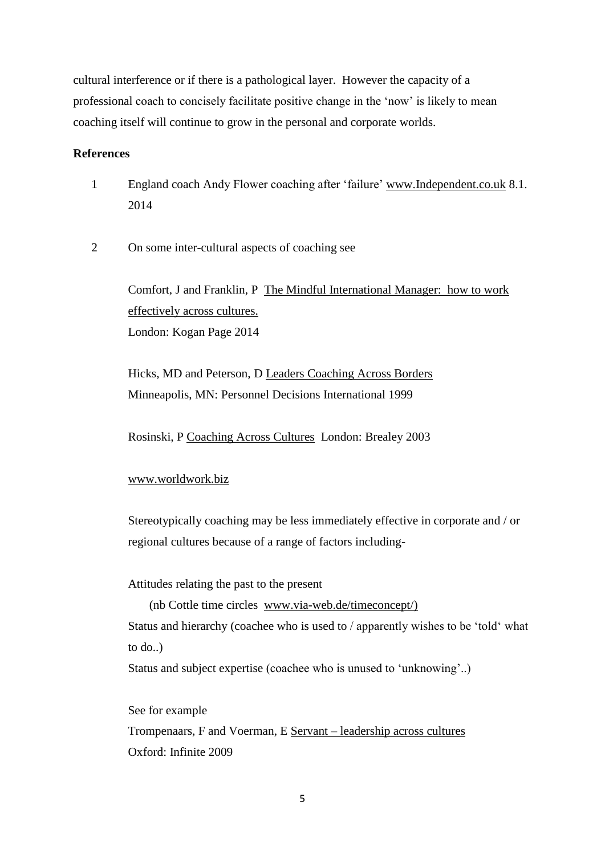cultural interference or if there is a pathological layer. However the capacity of a professional coach to concisely facilitate positive change in the 'now' is likely to mean coaching itself will continue to grow in the personal and corporate worlds.

### **References**

- 1 England coach Andy Flower coaching after 'failure' www.Independent.co.uk 8.1. 2014
- 2 On some inter-cultural aspects of coaching see

Comfort, J and Franklin, P The Mindful International Manager: how to work effectively across cultures. London: Kogan Page 2014

Hicks, MD and Peterson, D Leaders Coaching Across Borders Minneapolis, MN: Personnel Decisions International 1999

Rosinski, P Coaching Across Cultures London: Brealey 2003

#### www.worldwork.biz

Stereotypically coaching may be less immediately effective in corporate and / or regional cultures because of a range of factors including-

Attitudes relating the past to the present

(nb Cottle time circles www.via-web.de/timeconcept/) Status and hierarchy (coachee who is used to / apparently wishes to be 'told' what to do..)

Status and subject expertise (coachee who is unused to 'unknowing'..)

See for example Trompenaars, F and Voerman, E Servant – leadership across cultures Oxford: Infinite 2009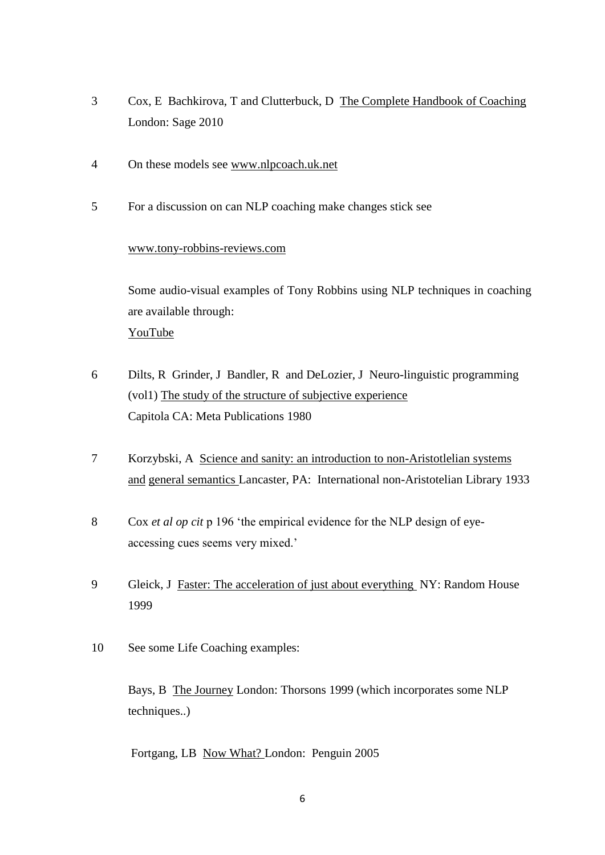- 3 Cox, E Bachkirova, T and Clutterbuck, D The Complete Handbook of Coaching London: Sage 2010
- 4 On these models see www.nlpcoach.uk.net
- 5 For a discussion on can NLP coaching make changes stick see

#### www.tony-robbins-reviews.com

Some audio-visual examples of Tony Robbins using NLP techniques in coaching are available through: YouTube

- 6 Dilts, R Grinder, J Bandler, R and DeLozier, J Neuro-linguistic programming (vol1) The study of the structure of subjective experience Capitola CA: Meta Publications 1980
- 7 Korzybski, A Science and sanity: an introduction to non-Aristotlelian systems and general semantics Lancaster, PA: International non-Aristotelian Library 1933
- 8 Cox *et al op cit* p 196 'the empirical evidence for the NLP design of eyeaccessing cues seems very mixed.'
- 9 Gleick, J Faster: The acceleration of just about everything NY: Random House 1999
- 10 See some Life Coaching examples:

Bays, B The Journey London: Thorsons 1999 (which incorporates some NLP techniques..)

Fortgang, LB Now What? London: Penguin 2005